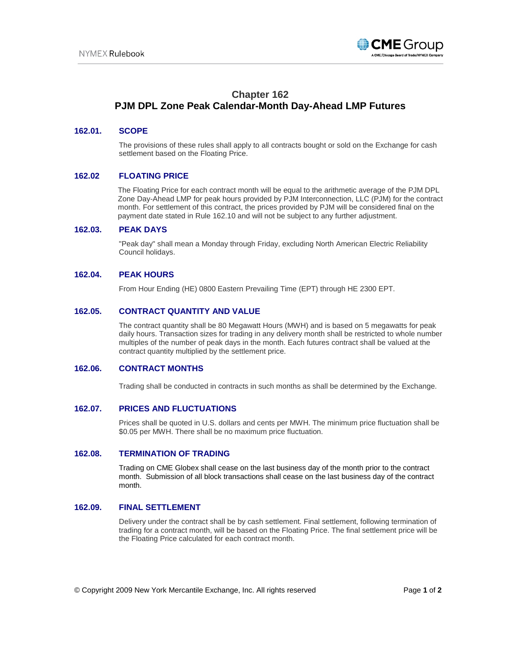

# **Chapter 162 PJM DPL Zone Peak Calendar-Month Day-Ahead LMP Futures**

# **162.01. SCOPE**

The provisions of these rules shall apply to all contracts bought or sold on the Exchange for cash settlement based on the Floating Price.

# **162.02 FLOATING PRICE**

The Floating Price for each contract month will be equal to the arithmetic average of the PJM DPL Zone Day-Ahead LMP for peak hours provided by PJM Interconnection, LLC (PJM) for the contract month. For settlement of this contract, the prices provided by PJM will be considered final on the payment date stated in Rule 162.10 and will not be subject to any further adjustment.

#### **162.03. PEAK DAYS**

"Peak day" shall mean a Monday through Friday, excluding North American Electric Reliability Council holidays.

# **162.04. PEAK HOURS**

From Hour Ending (HE) 0800 Eastern Prevailing Time (EPT) through HE 2300 EPT.

# **162.05. CONTRACT QUANTITY AND VALUE**

The contract quantity shall be 80 Megawatt Hours (MWH) and is based on 5 megawatts for peak daily hours. Transaction sizes for trading in any delivery month shall be restricted to whole number multiples of the number of peak days in the month. Each futures contract shall be valued at the contract quantity multiplied by the settlement price.

#### **162.06. CONTRACT MONTHS**

Trading shall be conducted in contracts in such months as shall be determined by the Exchange.

# **162.07. PRICES AND FLUCTUATIONS**

Prices shall be quoted in U.S. dollars and cents per MWH. The minimum price fluctuation shall be \$0.05 per MWH. There shall be no maximum price fluctuation.

#### **162.08. TERMINATION OF TRADING**

Trading on CME Globex shall cease on the last business day of the month prior to the contract month. Submission of all block transactions shall cease on the last business day of the contract month.

# **162.09. FINAL SETTLEMENT**

Delivery under the contract shall be by cash settlement. Final settlement, following termination of trading for a contract month, will be based on the Floating Price. The final settlement price will be the Floating Price calculated for each contract month.